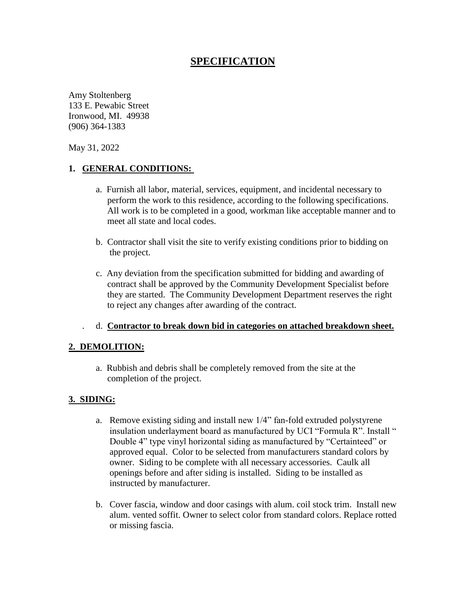# **SPECIFICATION**

Amy Stoltenberg 133 E. Pewabic Street Ironwood, MI. 49938 (906) 364-1383

May 31, 2022

#### **1. GENERAL CONDITIONS:**

- a. Furnish all labor, material, services, equipment, and incidental necessary to perform the work to this residence, according to the following specifications. All work is to be completed in a good, workman like acceptable manner and to meet all state and local codes.
- b. Contractor shall visit the site to verify existing conditions prior to bidding on the project.
- c. Any deviation from the specification submitted for bidding and awarding of contract shall be approved by the Community Development Specialist before they are started. The Community Development Department reserves the right to reject any changes after awarding of the contract.

#### . d. **Contractor to break down bid in categories on attached breakdown sheet.**

#### **2. DEMOLITION:**

a. Rubbish and debris shall be completely removed from the site at the completion of the project.

#### **3. SIDING:**

- a. Remove existing siding and install new 1/4" fan-fold extruded polystyrene insulation underlayment board as manufactured by UCI "Formula R". Install " Double 4" type vinyl horizontal siding as manufactured by "Certainteed" or approved equal. Color to be selected from manufacturers standard colors by owner. Siding to be complete with all necessary accessories. Caulk all openings before and after siding is installed. Siding to be installed as instructed by manufacturer.
- b. Cover fascia, window and door casings with alum. coil stock trim. Install new alum. vented soffit. Owner to select color from standard colors. Replace rotted or missing fascia.